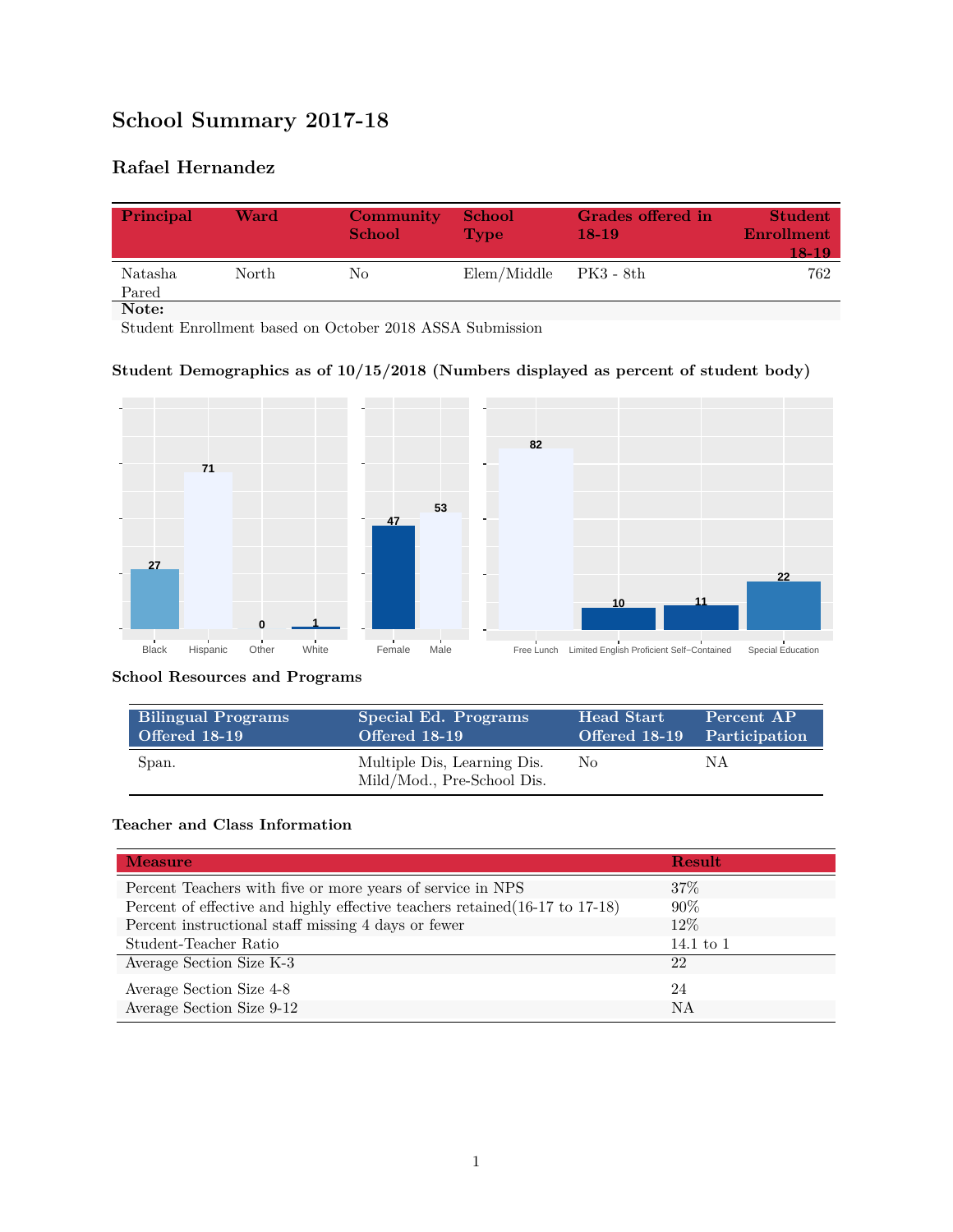# **School Summary 2017-18**

## **Rafael Hernandez**

| Principal        | Ward  | Community<br><b>School</b> | <b>School</b><br><b>Type</b> | Grades offered in<br>$18-19$ | <b>Student</b><br><b>Enrollment</b><br>18-19 |
|------------------|-------|----------------------------|------------------------------|------------------------------|----------------------------------------------|
| Natasha<br>Pared | North | No                         | Elem/Middle                  | - PK3 - 8th                  | 762                                          |
| Note:            |       |                            |                              |                              |                                              |

Student Enrollment based on October 2018 ASSA Submission

### **Student Demographics as of 10/15/2018 (Numbers displayed as percent of student body)**



#### **School Resources and Programs**

| <b>Bilingual Programs</b> | Special Ed. Programs                                      | <b>Head Start</b>           | Percent AP |
|---------------------------|-----------------------------------------------------------|-----------------------------|------------|
| Offered 18-19             | Offered 18-19                                             | Offered 18-19 Participation |            |
| Span.                     | Multiple Dis, Learning Dis.<br>Mild/Mod., Pre-School Dis. | No.                         | N A        |

#### **Teacher and Class Information**

| <b>Measure</b>                                                               | <b>Result</b> |
|------------------------------------------------------------------------------|---------------|
| Percent Teachers with five or more years of service in NPS                   | $37\%$        |
| Percent of effective and highly effective teachers retained (16-17 to 17-18) | $90\%$        |
| Percent instructional staff missing 4 days or fewer                          | 12\%          |
| Student-Teacher Ratio                                                        | 14.1 to $1$   |
| Average Section Size K-3                                                     | 22            |
| Average Section Size 4-8                                                     | 24            |
| Average Section Size 9-12                                                    | NA            |